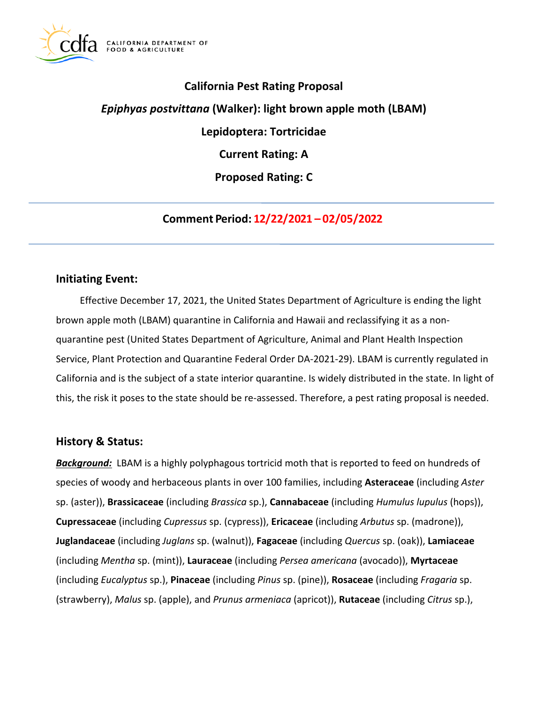

## **California Pest Rating Proposal**

# *Epiphyas postvittana* **(Walker): light brown apple moth (LBAM)**

**Lepidoptera: Tortricidae** 

**Current Rating: A** 

**Proposed Rating: C** 

**Comment Period: 12/22/2021 – 02/05/2022**

### **Initiating Event:**

Effective December 17, 2021, the United States Department of Agriculture is ending the light brown apple moth (LBAM) quarantine in California and Hawaii and reclassifying it as a nonquarantine pest (United States Department of Agriculture, Animal and Plant Health Inspection Service, Plant Protection and Quarantine Federal Order DA-2021-29). LBAM is currently regulated in California and is the subject of a state interior quarantine. Is widely distributed in the state. In light of this, the risk it poses to the state should be re-assessed. Therefore, a pest rating proposal is needed.

### **History & Status:**

*Background:* LBAM is a highly polyphagous tortricid moth that is reported to feed on hundreds of species of woody and herbaceous plants in over 100 families, including **Asteraceae** (including *Aster*  sp. (aster)), **Brassicaceae** (including *Brassica* sp.), **Cannabaceae** (including *Humulus lupulus* (hops)), **Cupressaceae** (including *Cupressus* sp. (cypress)), **Ericaceae** (including *Arbutus* sp. (madrone)), **Juglandaceae** (including *Juglans* sp. (walnut)), **Fagaceae** (including *Quercus* sp. (oak)), **Lamiaceae**  (including *Mentha* sp. (mint)), **Lauraceae** (including *Persea americana* (avocado)), **Myrtaceae**  (including *Eucalyptus* sp.), **Pinaceae** (including *Pinus* sp. (pine)), **Rosaceae** (including *Fragaria* sp. (strawberry), *Malus* sp. (apple), and *Prunus armeniaca* (apricot)), **Rutaceae** (including *Citrus* sp.),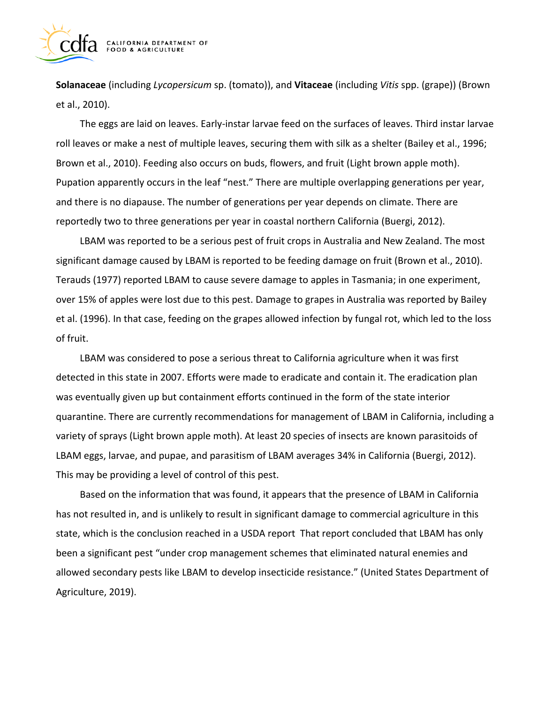

**Solanaceae** (including *Lycopersicum* sp. (tomato)), and **Vitaceae** (including *Vitis* spp. (grape)) (Brown et al., 2010).

The eggs are laid on leaves. Early-instar larvae feed on the surfaces of leaves. Third instar larvae roll leaves or make a nest of multiple leaves, securing them with silk as a shelter (Bailey et al., 1996; Brown et al., 2010). Feeding also occurs on buds, flowers, and fruit (Light brown apple moth). Pupation apparently occurs in the leaf "nest." There are multiple overlapping generations per year, and there is no diapause. The number of generations per year depends on climate. There are reportedly two to three generations per year in coastal northern California (Buergi, 2012).

LBAM was reported to be a serious pest of fruit crops in Australia and New Zealand. The most significant damage caused by LBAM is reported to be feeding damage on fruit (Brown et al., 2010). Terauds (1977) reported LBAM to cause severe damage to apples in Tasmania; in one experiment, over 15% of apples were lost due to this pest. Damage to grapes in Australia was reported by Bailey et al. (1996). In that case, feeding on the grapes allowed infection by fungal rot, which led to the loss of fruit.

LBAM was considered to pose a serious threat to California agriculture when it was first detected in this state in 2007. Efforts were made to eradicate and contain it. The eradication plan was eventually given up but containment efforts continued in the form of the state interior quarantine. There are currently recommendations for management of LBAM in California, including a variety of sprays (Light brown apple moth). At least 20 species of insects are known parasitoids of LBAM eggs, larvae, and pupae, and parasitism of LBAM averages 34% in California (Buergi, 2012). This may be providing a level of control of this pest.

Based on the information that was found, it appears that the presence of LBAM in California has not resulted in, and is unlikely to result in significant damage to commercial agriculture in this state, which is the conclusion reached in a USDA report That report concluded that LBAM has only been a significant pest "under crop management schemes that eliminated natural enemies and allowed secondary pests like LBAM to develop insecticide resistance." (United States Department of Agriculture, 2019).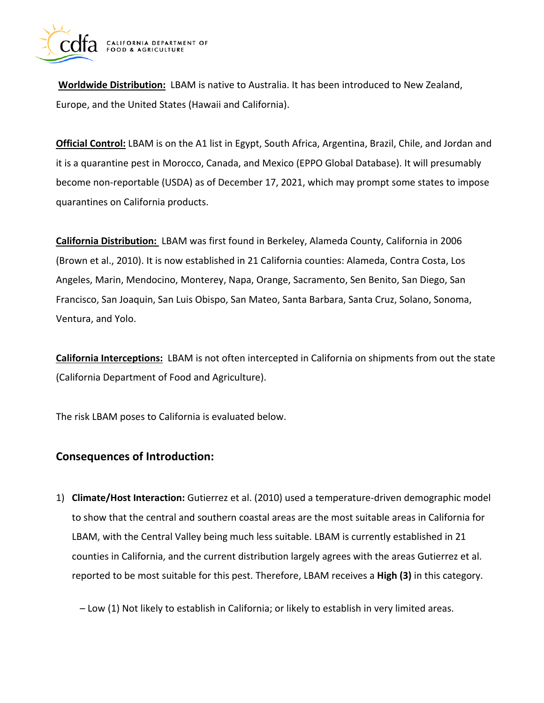

**Worldwide Distribution:** LBAM is native to Australia. It has been introduced to New Zealand, Europe, and the United States (Hawaii and California).

**Official Control:** LBAM is on the A1 list in Egypt, South Africa, Argentina, Brazil, Chile, and Jordan and it is a quarantine pest in Morocco, Canada, and Mexico (EPPO Global Database). It will presumably become non-reportable (USDA) as of December 17, 2021, which may prompt some states to impose quarantines on California products.

**California Distribution:** LBAM was first found in Berkeley, Alameda County, California in 2006 (Brown et al., 2010). It is now established in 21 California counties: Alameda, Contra Costa, Los Angeles, Marin, Mendocino, Monterey, Napa, Orange, Sacramento, Sen Benito, San Diego, San Francisco, San Joaquin, San Luis Obispo, San Mateo, Santa Barbara, Santa Cruz, Solano, Sonoma, Ventura, and Yolo.

**California Interceptions:** LBAM is not often intercepted in California on shipments from out the state (California Department of Food and Agriculture).

The risk LBAM poses to California is evaluated below.

## **Consequences of Introduction:**

1) **Climate/Host Interaction:** Gutierrez et al. (2010) used a temperature-driven demographic model to show that the central and southern coastal areas are the most suitable areas in California for LBAM, with the Central Valley being much less suitable. LBAM is currently established in 21 counties in California, and the current distribution largely agrees with the areas Gutierrez et al. reported to be most suitable for this pest. Therefore, LBAM receives a **High (3)** in this category.

– Low (1) Not likely to establish in California; or likely to establish in very limited areas.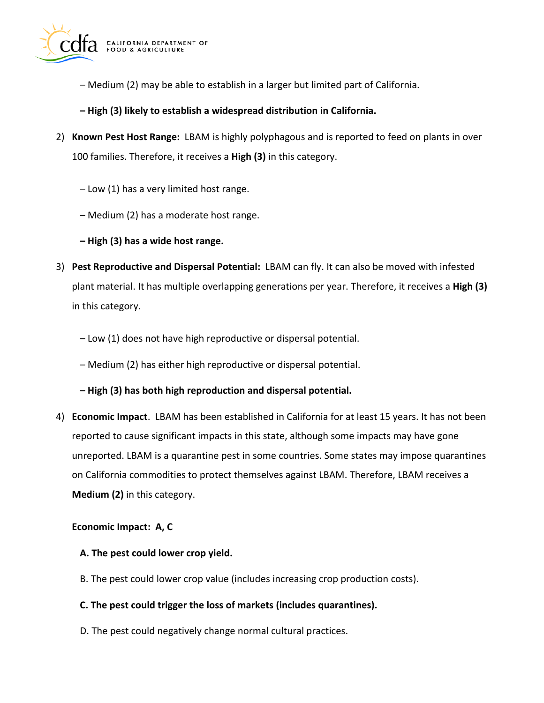

- Medium (2) may be able to establish in a larger but limited part of California.
- **– High (3) likely to establish a widespread distribution in California.**
- 2) **Known Pest Host Range:** LBAM is highly polyphagous and is reported to feed on plants in over 100 families. Therefore, it receives a **High (3)** in this category.
	- Low (1) has a very limited host range.
	- Medium (2) has a moderate host range.
	- **– High (3) has a wide host range.**
- 3) **Pest Reproductive and Dispersal Potential:** LBAM can fly. It can also be moved with infested plant material. It has multiple overlapping generations per year. Therefore, it receives a **High (3)**  in this category.
	- Low (1) does not have high reproductive or dispersal potential.
	- Medium (2) has either high reproductive or dispersal potential.

### **– High (3) has both high reproduction and dispersal potential.**

4) **Economic Impact**. LBAM has been established in California for at least 15 years. It has not been reported to cause significant impacts in this state, although some impacts may have gone unreported. LBAM is a quarantine pest in some countries. Some states may impose quarantines on California commodities to protect themselves against LBAM. Therefore, LBAM receives a **Medium (2)** in this category.

### **Economic Impact: A, C**

### **A. The pest could lower crop yield.**

B. The pest could lower crop value (includes increasing crop production costs).

### **C. The pest could trigger the loss of markets (includes quarantines).**

D. The pest could negatively change normal cultural practices.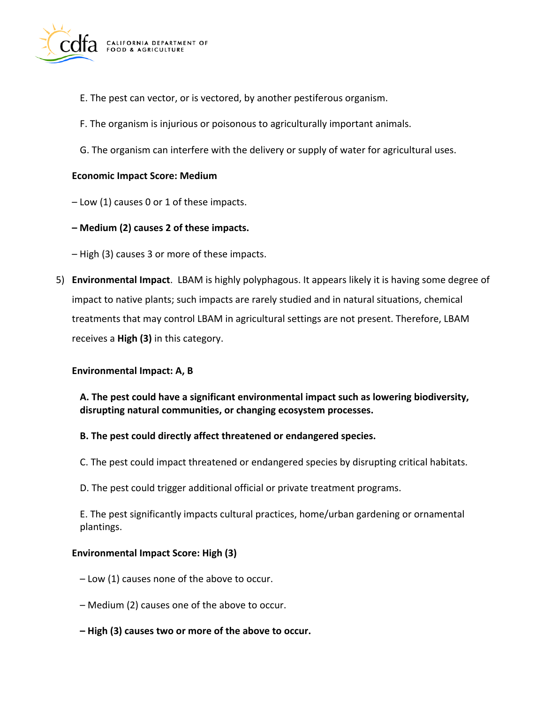

- E. The pest can vector, or is vectored, by another pestiferous organism.
- F. The organism is injurious or poisonous to agriculturally important animals.
- G. The organism can interfere with the delivery or supply of water for agricultural uses.

### **Economic Impact Score: Medium**

– Low (1) causes 0 or 1 of these impacts.

**– Medium (2) causes 2 of these impacts.** 

– High (3) causes 3 or more of these impacts.

5) **Environmental Impact**. LBAM is highly polyphagous. It appears likely it is having some degree of impact to native plants; such impacts are rarely studied and in natural situations, chemical treatments that may control LBAM in agricultural settings are not present. Therefore, LBAM receives a **High (3)** in this category.

### **Environmental Impact: A, B**

**A. The pest could have a significant environmental impact such as lowering biodiversity, disrupting natural communities, or changing ecosystem processes.** 

### **B. The pest could directly affect threatened or endangered species.**

- C. The pest could impact threatened or endangered species by disrupting critical habitats.
- D. The pest could trigger additional official or private treatment programs.

E. The pest significantly impacts cultural practices, home/urban gardening or ornamental plantings.

### **Environmental Impact Score: High (3)**

- Low (1) causes none of the above to occur.
- Medium (2) causes one of the above to occur.
- **– High (3) causes two or more of the above to occur.**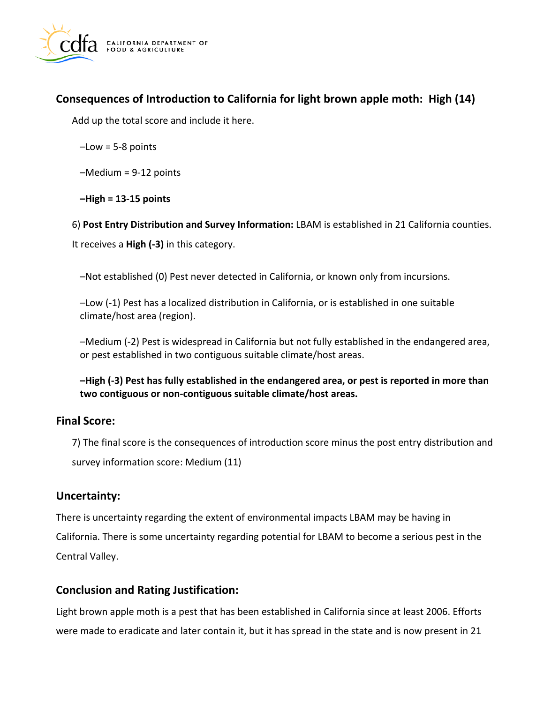

## **Consequences of Introduction to California for light brown apple moth: High (14)**

Add up the total score and include it here.

 $-Low = 5-8$  points

–Medium = 9-12 points

**–High = 13-15 points** 

6) **Post Entry Distribution and Survey Information:** LBAM is established in 21 California counties.

It receives a **High (-3)** in this category.

–Not established (0) Pest never detected in California, or known only from incursions.

–Low (-1) Pest has a localized distribution in California, or is established in one suitable climate/host area (region).

–Medium (-2) Pest is widespread in California but not fully established in the endangered area, or pest established in two contiguous suitable climate/host areas.

**–High (-3) Pest has fully established in the endangered area, or pest is reported in more than two contiguous or non-contiguous suitable climate/host areas.** 

## **Final Score:**

7) The final score is the consequences of introduction score minus the post entry distribution and survey information score: Medium (11)

## **Uncertainty:**

There is uncertainty regarding the extent of environmental impacts LBAM may be having in California. There is some uncertainty regarding potential for LBAM to become a serious pest in the Central Valley.

## **Conclusion and Rating Justification:**

Light brown apple moth is a pest that has been established in California since at least 2006. Efforts were made to eradicate and later contain it, but it has spread in the state and is now present in 21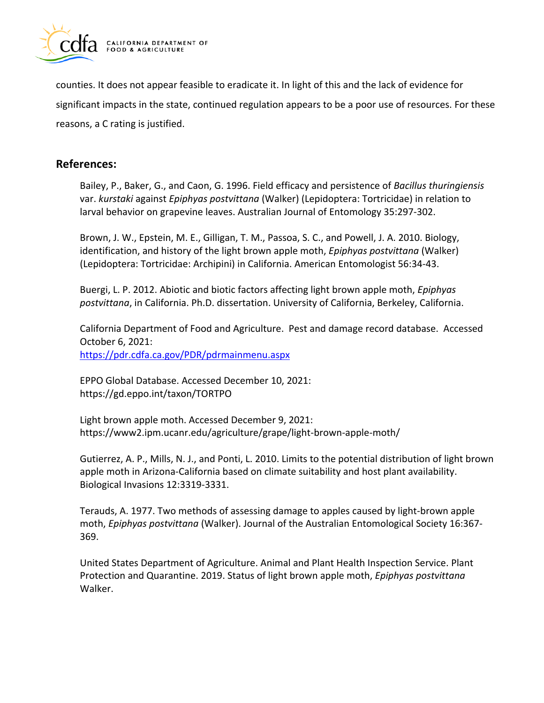

counties. It does not appear feasible to eradicate it. In light of this and the lack of evidence for significant impacts in the state, continued regulation appears to be a poor use of resources. For these reasons, a C rating is justified.

## **References:**

Bailey, P., Baker, G., and Caon, G. 1996. Field efficacy and persistence of *Bacillus thuringiensis*  var. *kurstaki* against *Epiphyas postvittana* (Walker) (Lepidoptera: Tortricidae) in relation to larval behavior on grapevine leaves. Australian Journal of Entomology 35:297-302.

Brown, J. W., Epstein, M. E., Gilligan, T. M., Passoa, S. C., and Powell, J. A. 2010. Biology, identification, and history of the light brown apple moth, *Epiphyas postvittana* (Walker) (Lepidoptera: Tortricidae: Archipini) in California. American Entomologist 56:34-43.

Buergi, L. P. 2012. Abiotic and biotic factors affecting light brown apple moth, *Epiphyas postvittana*, in California. Ph.D. dissertation. University of California, Berkeley, California.

California Department of Food and Agriculture. Pest and damage record database. Accessed October 6, 2021: <https://pdr.cdfa.ca.gov/PDR/pdrmainmenu.aspx>

EPPO Global Database. Accessed December 10, 2021: <https://gd.eppo.int/taxon/TORTPO>

Light brown apple moth. Accessed December 9, 2021: [https://www2.ipm.ucanr.edu/agriculture/grape/light-brown-apple-moth/](https://www2.ipm.ucanr.edu/agriculture/grape/light-brown-apple-moth)

Gutierrez, A. P., Mills, N. J., and Ponti, L. 2010. Limits to the potential distribution of light brown apple moth in Arizona-California based on climate suitability and host plant availability. Biological Invasions 12:3319-3331.

Terauds, A. 1977. Two methods of assessing damage to apples caused by light-brown apple moth, *Epiphyas postvittana* (Walker). Journal of the Australian Entomological Society 16:367- 369.

United States Department of Agriculture. Animal and Plant Health Inspection Service. Plant Protection and Quarantine. 2019. Status of light brown apple moth, *Epiphyas postvittana*  Walker.